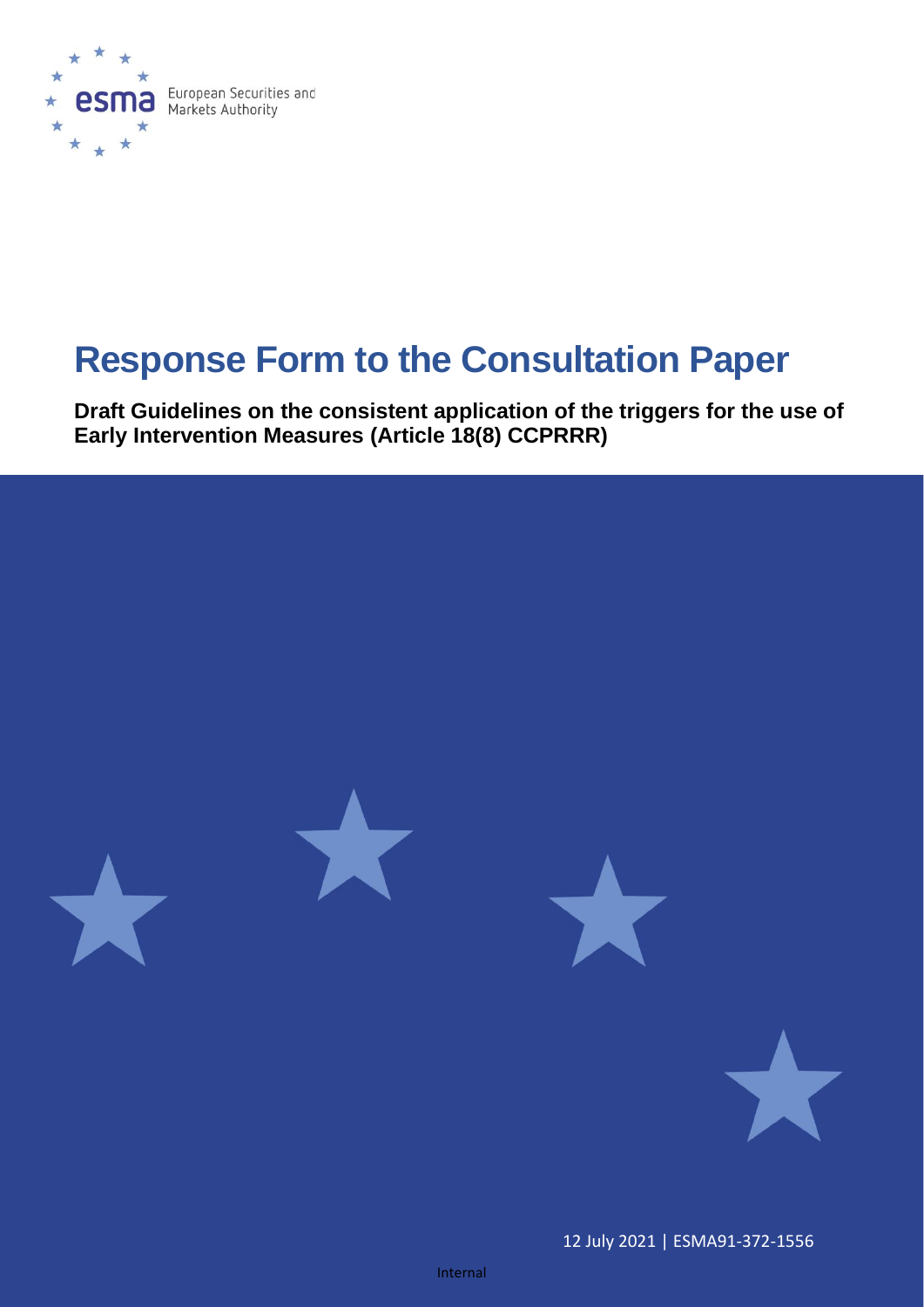

# **Response Form to the Consultation Paper**

**Draft Guidelines on the consistent application of the triggers for the use of Early Intervention Measures (Article 18(8) CCPRRR)**



12 July 2021 | ESMA91-372-1556

Internal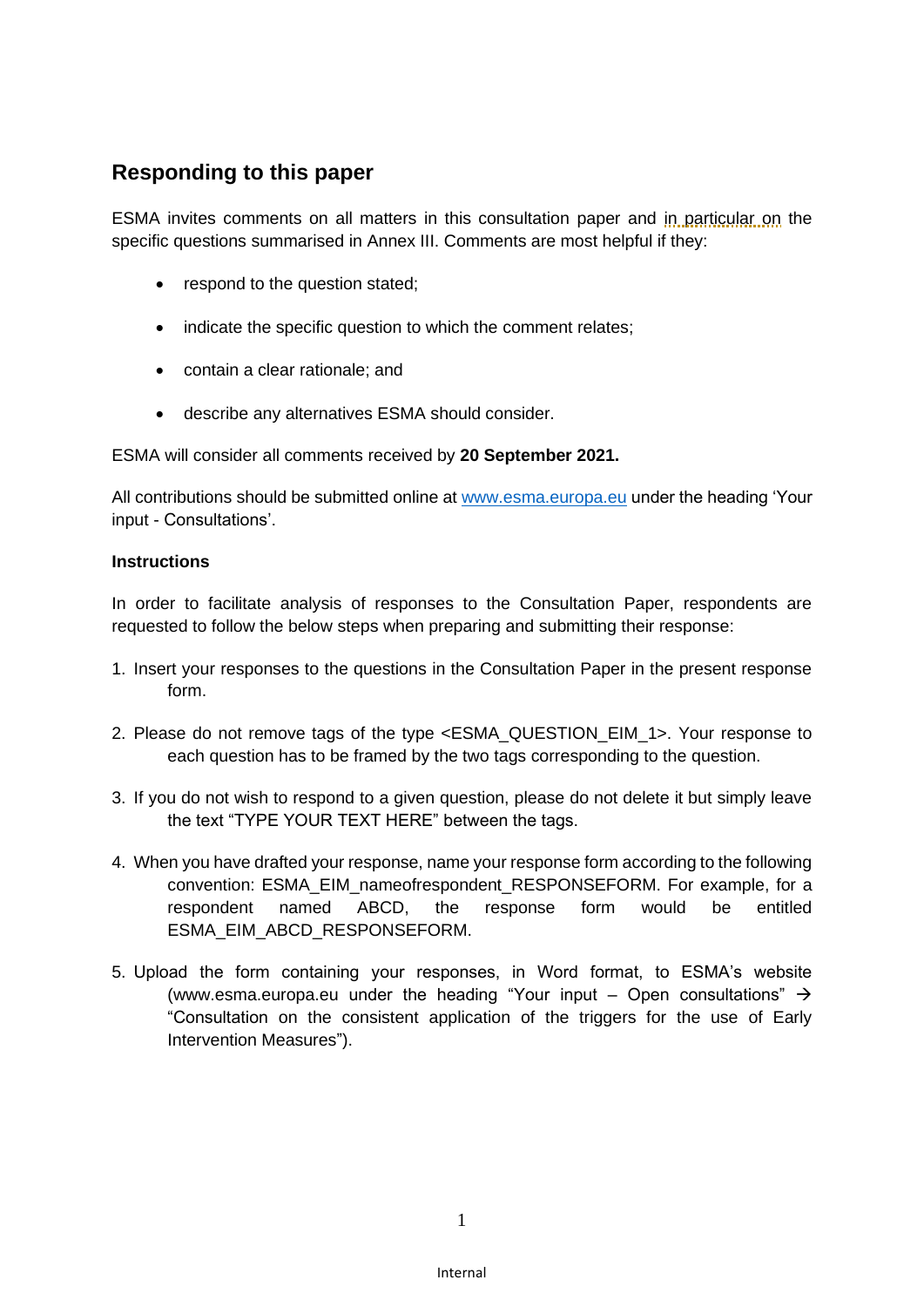## **Responding to this paper**

ESMA invites comments on all matters in this consultation paper and in particular on the specific questions summarised in Annex III. Comments are most helpful if they:

- respond to the question stated;
- indicate the specific question to which the comment relates;
- contain a clear rationale; and
- describe any alternatives ESMA should consider.

ESMA will consider all comments received by **20 September 2021.**

All contributions should be submitted online at [www.esma.europa.eu](http://www.esma.europa.eu/) under the heading 'Your input - Consultations'.

#### **Instructions**

In order to facilitate analysis of responses to the Consultation Paper, respondents are requested to follow the below steps when preparing and submitting their response:

- 1. Insert your responses to the questions in the Consultation Paper in the present response form.
- 2. Please do not remove tags of the type <ESMA\_QUESTION\_EIM\_1>. Your response to each question has to be framed by the two tags corresponding to the question.
- 3. If you do not wish to respond to a given question, please do not delete it but simply leave the text "TYPE YOUR TEXT HERE" between the tags.
- 4. When you have drafted your response, name your response form according to the following convention: ESMA\_EIM\_nameofrespondent\_RESPONSEFORM. For example, for a respondent named ABCD, the response form would be entitled ESMA\_EIM\_ABCD\_RESPONSEFORM.
- 5. Upload the form containing your responses, in Word format, to ESMA's website [\(www.esma.europa.eu](http://www.esma.europa.eu/) under the heading "Your input – Open consultations"  $\rightarrow$ "Consultation on the consistent application of the triggers for the use of Early Intervention Measures").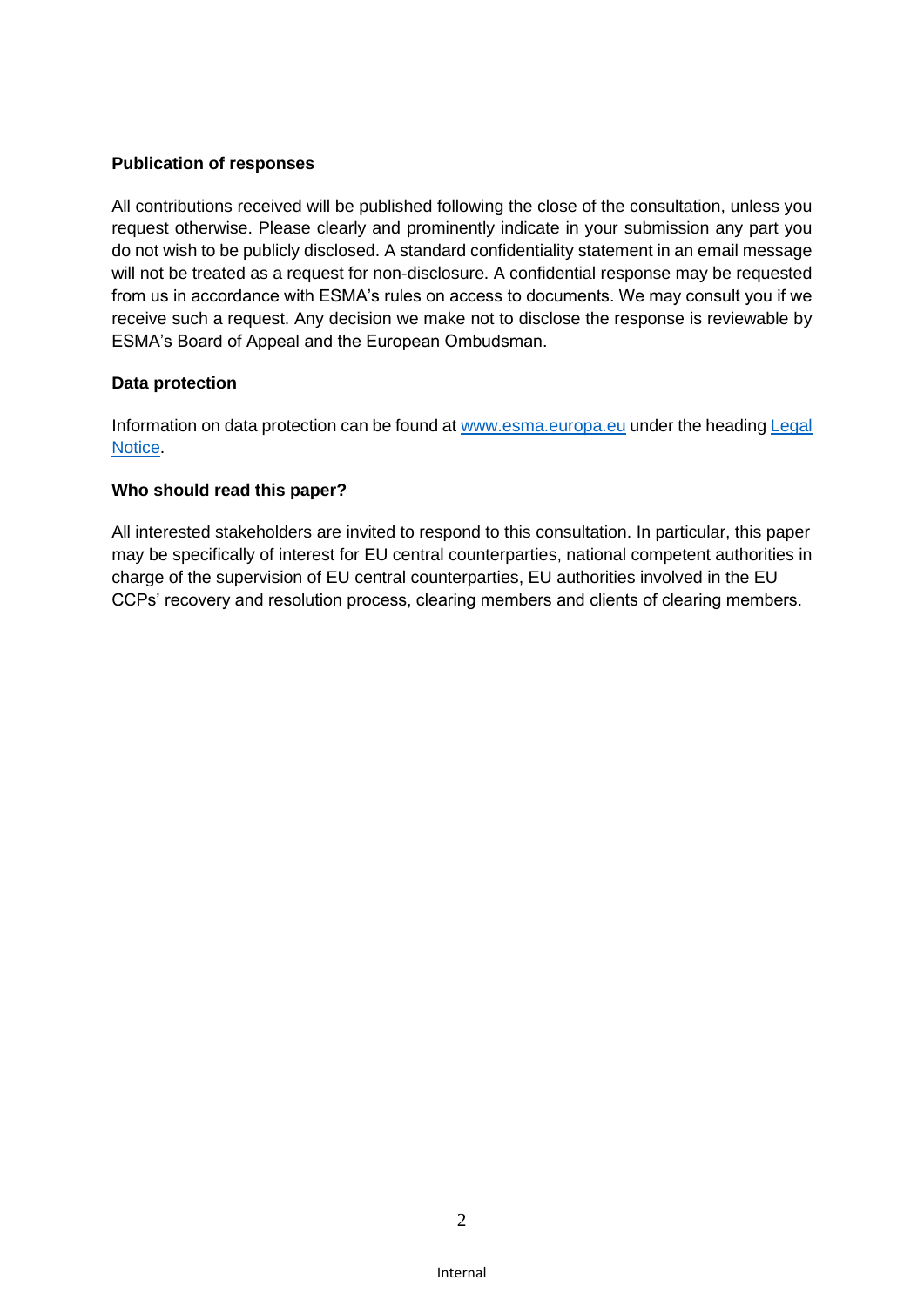#### **Publication of responses**

All contributions received will be published following the close of the consultation, unless you request otherwise. Please clearly and prominently indicate in your submission any part you do not wish to be publicly disclosed. A standard confidentiality statement in an email message will not be treated as a request for non-disclosure. A confidential response may be requested from us in accordance with ESMA's rules on access to documents. We may consult you if we receive such a request. Any decision we make not to disclose the response is reviewable by ESMA's Board of Appeal and the European Ombudsman.

#### **Data protection**

Information on data protection can be found at [www.esma.europa.eu](http://www.esma.europa.eu/) under the heading Legal [Notice.](http://www.esma.europa.eu/legal-notice)

#### **Who should read this paper?**

All interested stakeholders are invited to respond to this consultation. In particular, this paper may be specifically of interest for EU central counterparties, national competent authorities in charge of the supervision of EU central counterparties, EU authorities involved in the EU CCPs' recovery and resolution process, clearing members and clients of clearing members.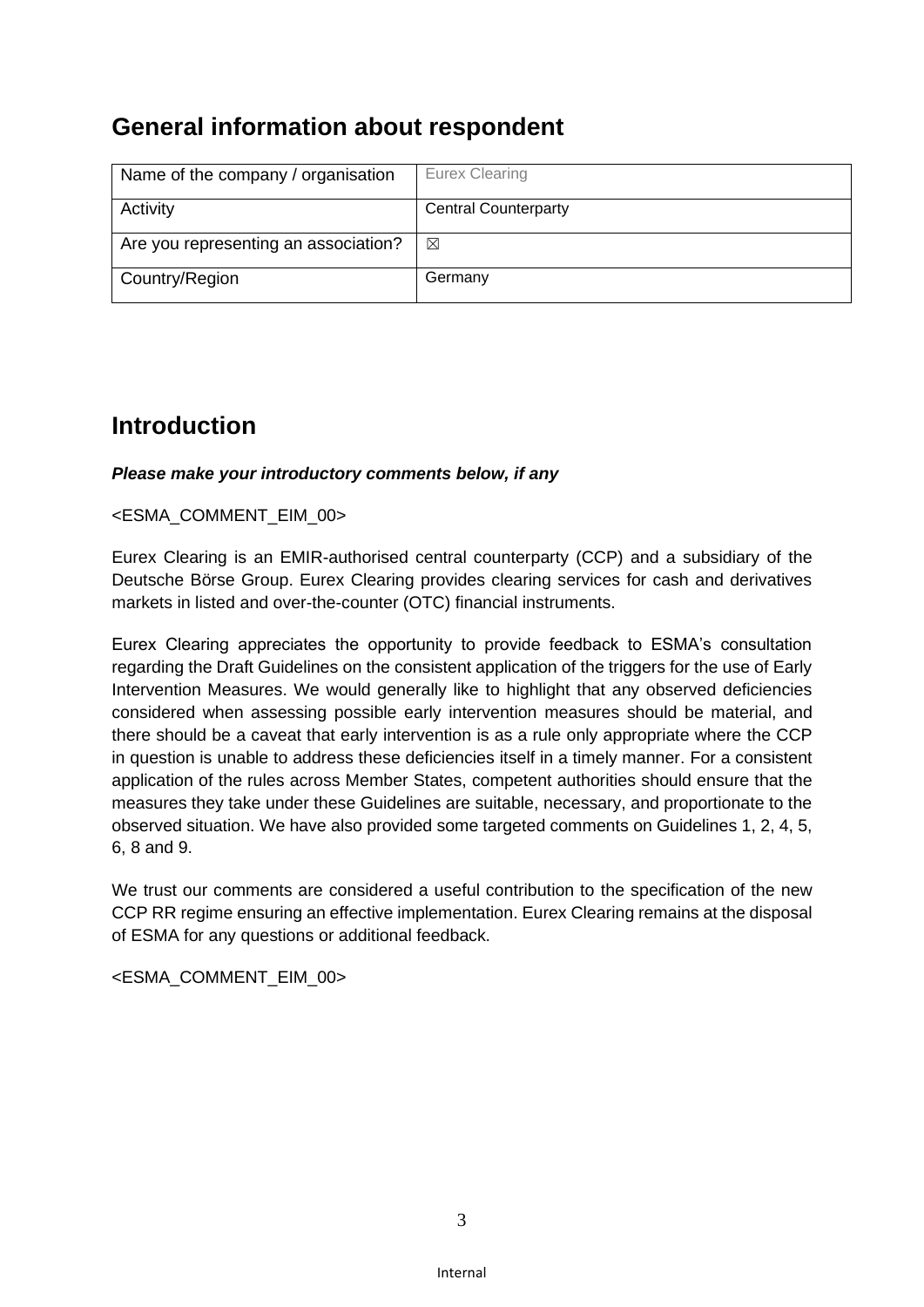# **General information about respondent**

| Name of the company / organisation   | Eurex Clearing              |
|--------------------------------------|-----------------------------|
| Activity                             | <b>Central Counterparty</b> |
| Are you representing an association? | ⊠                           |
| Country/Region                       | Germany                     |

## **Introduction**

#### *Please make your introductory comments below, if any*

#### <ESMA\_COMMENT\_EIM\_00>

Eurex Clearing is an EMIR-authorised central counterparty (CCP) and a subsidiary of the Deutsche Börse Group. Eurex Clearing provides clearing services for cash and derivatives markets in listed and over-the-counter (OTC) financial instruments.

Eurex Clearing appreciates the opportunity to provide feedback to ESMA's consultation regarding the Draft Guidelines on the consistent application of the triggers for the use of Early Intervention Measures. We would generally like to highlight that any observed deficiencies considered when assessing possible early intervention measures should be material, and there should be a caveat that early intervention is as a rule only appropriate where the CCP in question is unable to address these deficiencies itself in a timely manner. For a consistent application of the rules across Member States, competent authorities should ensure that the measures they take under these Guidelines are suitable, necessary, and proportionate to the observed situation. We have also provided some targeted comments on Guidelines 1, 2, 4, 5, 6, 8 and 9.

We trust our comments are considered a useful contribution to the specification of the new CCP RR regime ensuring an effective implementation. Eurex Clearing remains at the disposal of ESMA for any questions or additional feedback.

<ESMA\_COMMENT\_EIM\_00>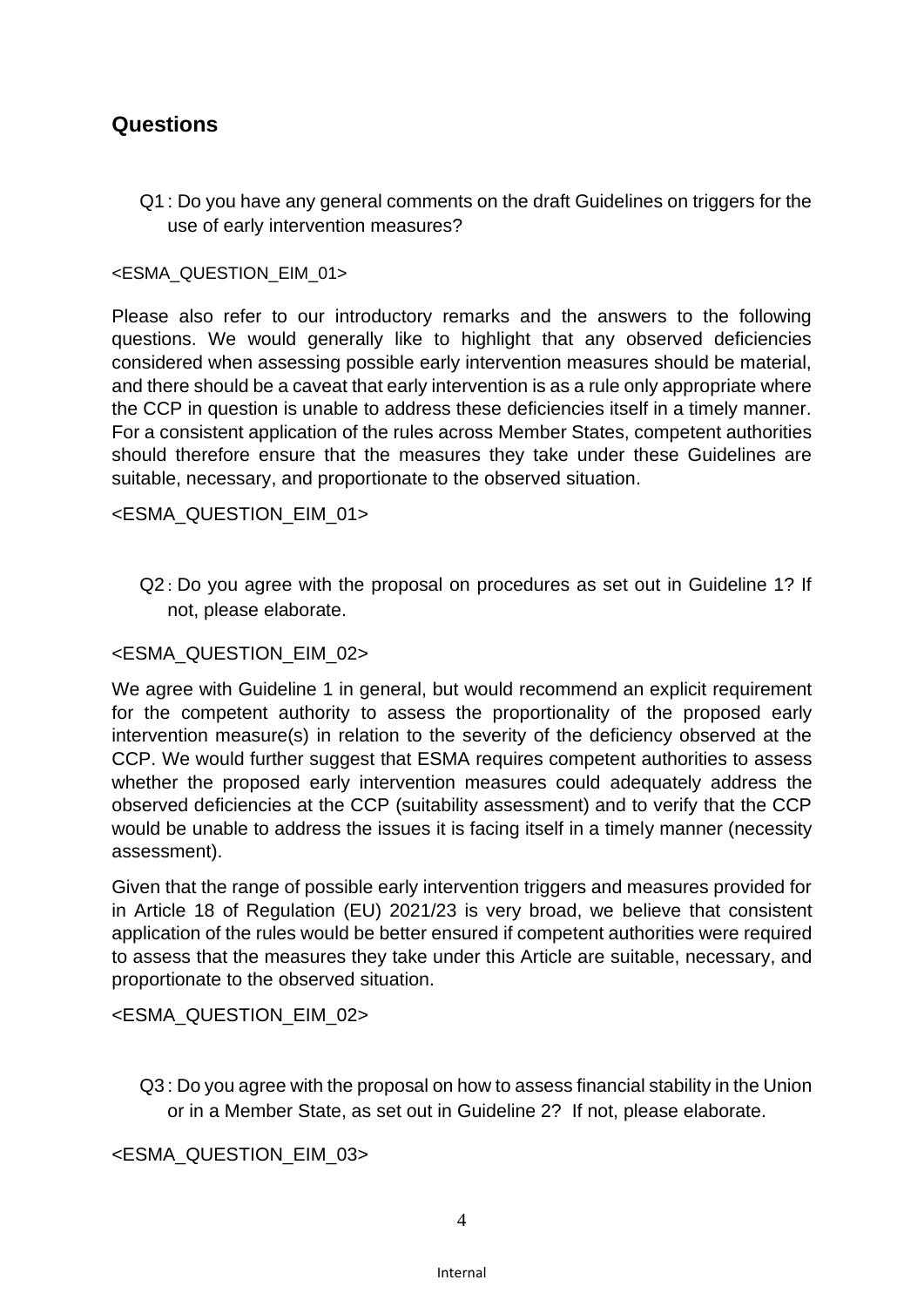## **Questions**

Q1 : Do you have any general comments on the draft Guidelines on triggers for the use of early intervention measures?

#### <ESMA\_QUESTION\_EIM\_01>

Please also refer to our introductory remarks and the answers to the following questions. We would generally like to highlight that any observed deficiencies considered when assessing possible early intervention measures should be material, and there should be a caveat that early intervention is as a rule only appropriate where the CCP in question is unable to address these deficiencies itself in a timely manner. For a consistent application of the rules across Member States, competent authorities should therefore ensure that the measures they take under these Guidelines are suitable, necessary, and proportionate to the observed situation.

<ESMA\_QUESTION\_EIM\_01>

Q2 : Do you agree with the proposal on procedures as set out in Guideline 1? If not, please elaborate.

#### <ESMA\_QUESTION\_EIM\_02>

We agree with Guideline 1 in general, but would recommend an explicit requirement for the competent authority to assess the proportionality of the proposed early intervention measure(s) in relation to the severity of the deficiency observed at the CCP. We would further suggest that ESMA requires competent authorities to assess whether the proposed early intervention measures could adequately address the observed deficiencies at the CCP (suitability assessment) and to verify that the CCP would be unable to address the issues it is facing itself in a timely manner (necessity assessment).

Given that the range of possible early intervention triggers and measures provided for in Article 18 of Regulation (EU) 2021/23 is very broad, we believe that consistent application of the rules would be better ensured if competent authorities were required to assess that the measures they take under this Article are suitable, necessary, and proportionate to the observed situation.

<ESMA\_QUESTION\_EIM\_02>

Q3 : Do you agree with the proposal on how to assess financial stability in the Union or in a Member State, as set out in Guideline 2? If not, please elaborate.

<ESMA\_QUESTION\_EIM\_03>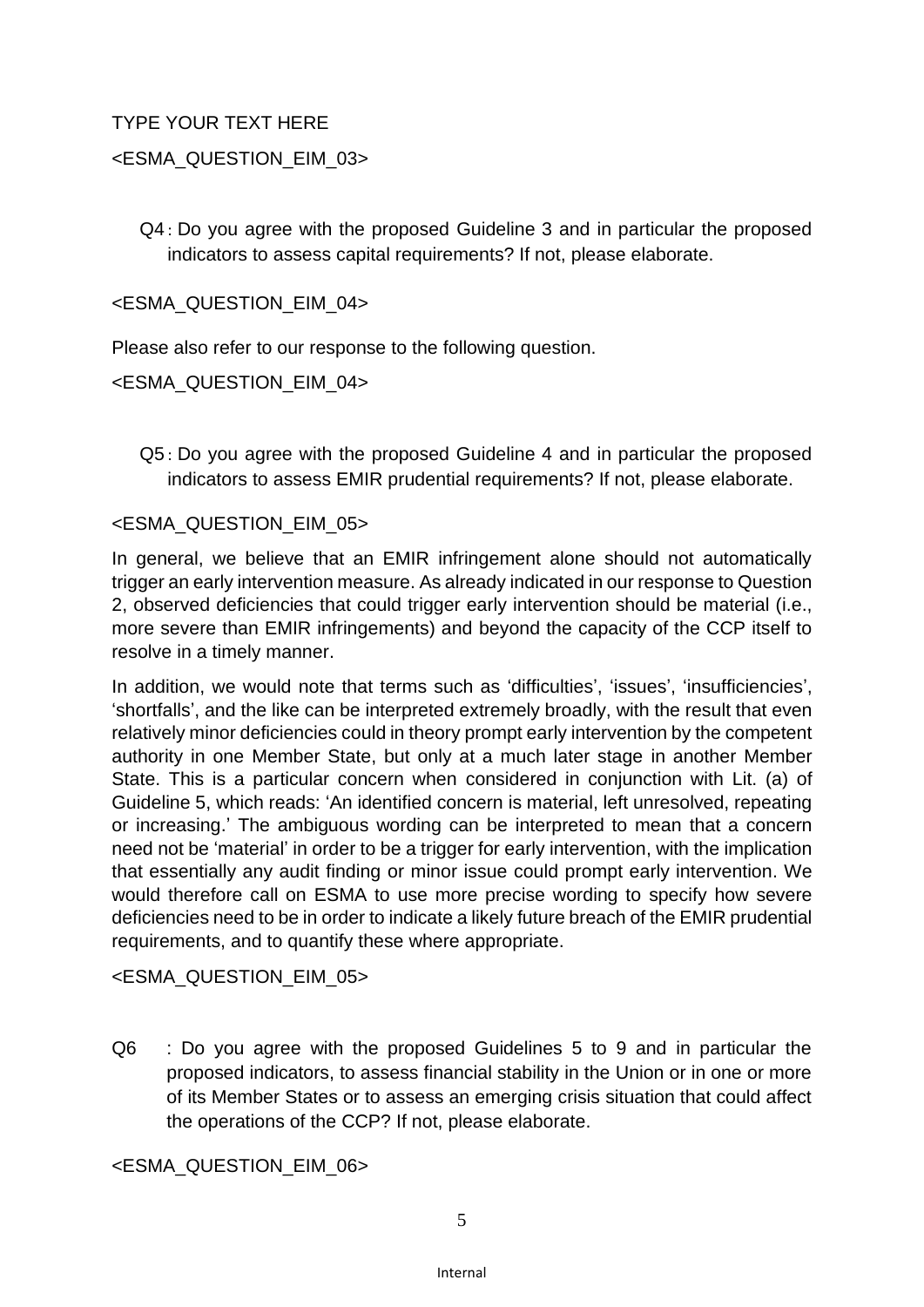#### TYPE YOUR TEXT HERE

#### <ESMA\_QUESTION\_EIM\_03>

Q4 : Do you agree with the proposed Guideline 3 and in particular the proposed indicators to assess capital requirements? If not, please elaborate.

<ESMA\_QUESTION\_EIM\_04>

Please also refer to our response to the following question.

<ESMA\_QUESTION\_EIM\_04>

Q5 : Do you agree with the proposed Guideline 4 and in particular the proposed indicators to assess EMIR prudential requirements? If not, please elaborate.

#### <ESMA\_QUESTION\_EIM\_05>

In general, we believe that an EMIR infringement alone should not automatically trigger an early intervention measure. As already indicated in our response to Question 2, observed deficiencies that could trigger early intervention should be material (i.e., more severe than EMIR infringements) and beyond the capacity of the CCP itself to resolve in a timely manner.

In addition, we would note that terms such as 'difficulties', 'issues', 'insufficiencies', 'shortfalls', and the like can be interpreted extremely broadly, with the result that even relatively minor deficiencies could in theory prompt early intervention by the competent authority in one Member State, but only at a much later stage in another Member State. This is a particular concern when considered in conjunction with Lit. (a) of Guideline 5, which reads: 'An identified concern is material, left unresolved, repeating or increasing.' The ambiguous wording can be interpreted to mean that a concern need not be 'material' in order to be a trigger for early intervention, with the implication that essentially any audit finding or minor issue could prompt early intervention. We would therefore call on ESMA to use more precise wording to specify how severe deficiencies need to be in order to indicate a likely future breach of the EMIR prudential requirements, and to quantify these where appropriate.

<ESMA\_QUESTION\_EIM\_05>

Q6 : Do you agree with the proposed Guidelines 5 to 9 and in particular the proposed indicators, to assess financial stability in the Union or in one or more of its Member States or to assess an emerging crisis situation that could affect the operations of the CCP? If not, please elaborate.

<ESMA\_QUESTION\_EIM\_06>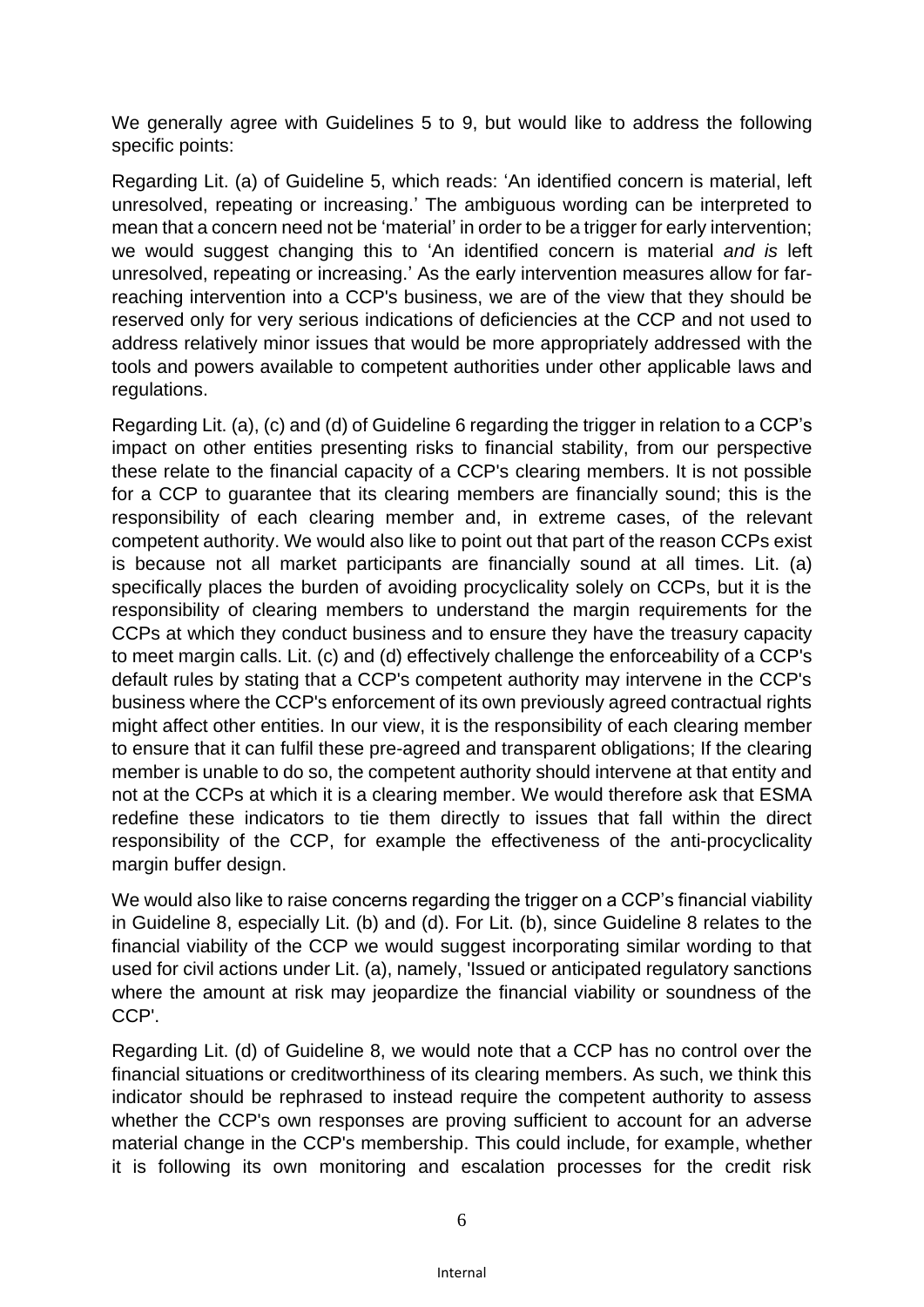We generally agree with Guidelines 5 to 9, but would like to address the following specific points:

Regarding Lit. (a) of Guideline 5, which reads: 'An identified concern is material, left unresolved, repeating or increasing.' The ambiguous wording can be interpreted to mean that a concern need not be 'material' in order to be a trigger for early intervention; we would suggest changing this to 'An identified concern is material *and is* left unresolved, repeating or increasing.' As the early intervention measures allow for farreaching intervention into a CCP's business, we are of the view that they should be reserved only for very serious indications of deficiencies at the CCP and not used to address relatively minor issues that would be more appropriately addressed with the tools and powers available to competent authorities under other applicable laws and regulations.

Regarding Lit. (a), (c) and (d) of Guideline 6 regarding the trigger in relation to a CCP's impact on other entities presenting risks to financial stability, from our perspective these relate to the financial capacity of a CCP's clearing members. It is not possible for a CCP to guarantee that its clearing members are financially sound; this is the responsibility of each clearing member and, in extreme cases, of the relevant competent authority. We would also like to point out that part of the reason CCPs exist is because not all market participants are financially sound at all times. Lit. (a) specifically places the burden of avoiding procyclicality solely on CCPs, but it is the responsibility of clearing members to understand the margin requirements for the CCPs at which they conduct business and to ensure they have the treasury capacity to meet margin calls. Lit. (c) and (d) effectively challenge the enforceability of a CCP's default rules by stating that a CCP's competent authority may intervene in the CCP's business where the CCP's enforcement of its own previously agreed contractual rights might affect other entities. In our view, it is the responsibility of each clearing member to ensure that it can fulfil these pre-agreed and transparent obligations; If the clearing member is unable to do so, the competent authority should intervene at that entity and not at the CCPs at which it is a clearing member. We would therefore ask that ESMA redefine these indicators to tie them directly to issues that fall within the direct responsibility of the CCP, for example the effectiveness of the anti-procyclicality margin buffer design.

We would also like to raise concerns regarding the trigger on a CCP's financial viability in Guideline 8, especially Lit. (b) and (d). For Lit. (b), since Guideline 8 relates to the financial viability of the CCP we would suggest incorporating similar wording to that used for civil actions under Lit. (a), namely, 'Issued or anticipated regulatory sanctions where the amount at risk may jeopardize the financial viability or soundness of the CCP'.

Regarding Lit. (d) of Guideline 8, we would note that a CCP has no control over the financial situations or creditworthiness of its clearing members. As such, we think this indicator should be rephrased to instead require the competent authority to assess whether the CCP's own responses are proving sufficient to account for an adverse material change in the CCP's membership. This could include, for example, whether it is following its own monitoring and escalation processes for the credit risk